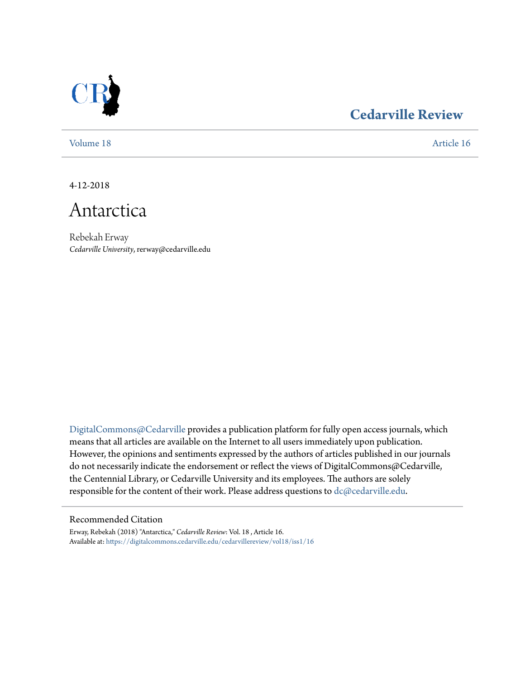

## **[Cedarville Review](https://digitalcommons.cedarville.edu/cedarvillereview?utm_source=digitalcommons.cedarville.edu%2Fcedarvillereview%2Fvol18%2Fiss1%2F16&utm_medium=PDF&utm_campaign=PDFCoverPages)**

[Volume 18](https://digitalcommons.cedarville.edu/cedarvillereview/vol18?utm_source=digitalcommons.cedarville.edu%2Fcedarvillereview%2Fvol18%2Fiss1%2F16&utm_medium=PDF&utm_campaign=PDFCoverPages) [Article 16](https://digitalcommons.cedarville.edu/cedarvillereview/vol18/iss1/16?utm_source=digitalcommons.cedarville.edu%2Fcedarvillereview%2Fvol18%2Fiss1%2F16&utm_medium=PDF&utm_campaign=PDFCoverPages)

4-12-2018



Rebekah Erway *Cedarville University*, rerway@cedarville.edu

[DigitalCommons@Cedarville](http://digitalcommons.cedarville.edu/) provides a publication platform for fully open access journals, which means that all articles are available on the Internet to all users immediately upon publication. However, the opinions and sentiments expressed by the authors of articles published in our journals do not necessarily indicate the endorsement or reflect the views of DigitalCommons@Cedarville, the Centennial Library, or Cedarville University and its employees. The authors are solely responsible for the content of their work. Please address questions to [dc@cedarville.edu](mailto:dc@cedarville.edu).

### Recommended Citation

Erway, Rebekah (2018) "Antarctica," *Cedarville Review*: Vol. 18 , Article 16. Available at: [https://digitalcommons.cedarville.edu/cedarvillereview/vol18/iss1/16](https://digitalcommons.cedarville.edu/cedarvillereview/vol18/iss1/16?utm_source=digitalcommons.cedarville.edu%2Fcedarvillereview%2Fvol18%2Fiss1%2F16&utm_medium=PDF&utm_campaign=PDFCoverPages)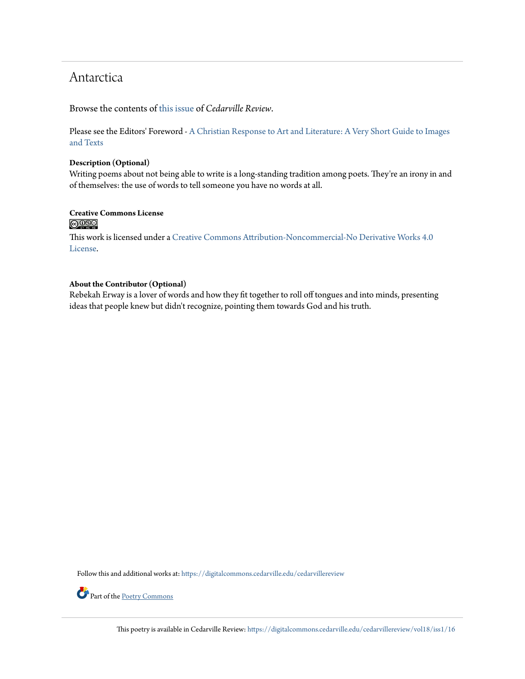## Antarctica

Browse the contents of [this issue](https://digitalcommons.cedarville.edu/cedarvillereview/vol18/iss1) of *Cedarville Review*.

Please see the Editors' Foreword - [A Christian Response to Art and Literature: A Very Short Guide to Images](http://digitalcommons.cedarville.edu/cedarvillereview/vol18/iss1/1/) [and Texts](http://digitalcommons.cedarville.edu/cedarvillereview/vol18/iss1/1/)

### **Description (Optional)**

Writing poems about not being able to write is a long-standing tradition among poets. They're an irony in and of themselves: the use of words to tell someone you have no words at all.

# Creative Commons License<br> **@ 089**

This work is licensed under a [Creative Commons Attribution-Noncommercial-No Derivative Works 4.0](http://creativecommons.org/licenses/by-nc-nd/4.0/) [License.](http://creativecommons.org/licenses/by-nc-nd/4.0/)

## **About the Contributor (Optional)**

Rebekah Erway is a lover of words and how they fit together to roll off tongues and into minds, presenting ideas that people knew but didn't recognize, pointing them towards God and his truth.

Follow this and additional works at: [https://digitalcommons.cedarville.edu/cedarvillereview](https://digitalcommons.cedarville.edu/cedarvillereview?utm_source=digitalcommons.cedarville.edu%2Fcedarvillereview%2Fvol18%2Fiss1%2F16&utm_medium=PDF&utm_campaign=PDFCoverPages)



Part of the [Poetry Commons](http://network.bepress.com/hgg/discipline/1153?utm_source=digitalcommons.cedarville.edu%2Fcedarvillereview%2Fvol18%2Fiss1%2F16&utm_medium=PDF&utm_campaign=PDFCoverPages)

This poetry is available in Cedarville Review: [https://digitalcommons.cedarville.edu/cedarvillereview/vol18/iss1/16](https://digitalcommons.cedarville.edu/cedarvillereview/vol18/iss1/16?utm_source=digitalcommons.cedarville.edu%2Fcedarvillereview%2Fvol18%2Fiss1%2F16&utm_medium=PDF&utm_campaign=PDFCoverPages)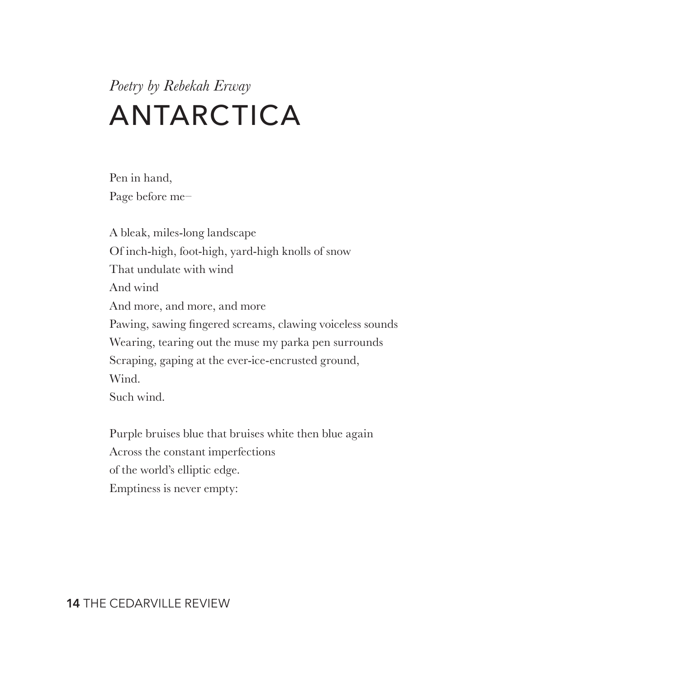# *Poetry by Rebekah Erway* ANTARCTICA

Pen in hand, Page before me–

A bleak, miles-long landscape Of inch-high, foot-high, yard-high knolls of snow That undulate with wind And wind And more, and more, and more Pawing, sawing fingered screams, clawing voiceless sounds Wearing, tearing out the muse my parka pen surrounds Scraping, gaping at the ever-ice-encrusted ground, Wind. Such wind.

Purple bruises blue that bruises white then blue again Across the constant imperfections of the world's elliptic edge. Emptiness is never empty:

**14** THE CEDARVILLE REVIEW